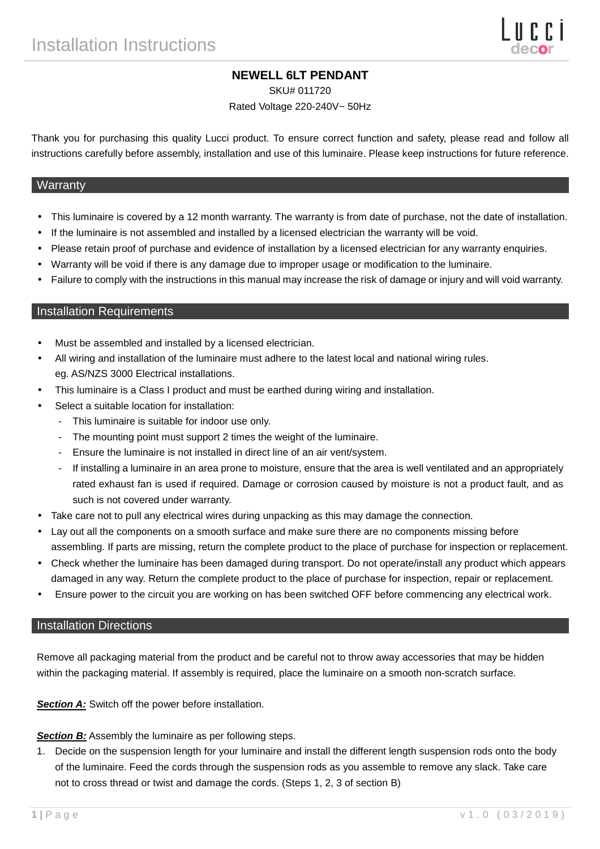# **NEWELL 6LT PENDANT**

SKU# 011720

Rated Voltage 220-240V~ 50Hz

Thank you for purchasing this quality Lucci product. To ensure correct function and safety, please read and follow all instructions carefully before assembly, installation and use of this luminaire. Please keep instructions for future reference.

#### **Warranty**

- This luminaire is covered by a 12 month warranty. The warranty is from date of purchase, not the date of installation.
- If the luminaire is not assembled and installed by a licensed electrician the warranty will be void.
- Please retain proof of purchase and evidence of installation by a licensed electrician for any warranty enquiries.
- Warranty will be void if there is any damage due to improper usage or modification to the luminaire.
- Failure to comply with the instructions in this manual may increase the risk of damage or injury and will void warranty.

#### Installation Requirements

- Must be assembled and installed by a licensed electrician.
- All wiring and installation of the luminaire must adhere to the latest local and national wiring rules. eg. AS/NZS 3000 Electrical installations.
- This luminaire is a Class I product and must be earthed during wiring and installation.
- Select a suitable location for installation:
	- This luminaire is suitable for indoor use only.
	- The mounting point must support 2 times the weight of the luminaire.
	- Ensure the luminaire is not installed in direct line of an air vent/system.
	- If installing a luminaire in an area prone to moisture, ensure that the area is well ventilated and an appropriately rated exhaust fan is used if required. Damage or corrosion caused by moisture is not a product fault, and as such is not covered under warranty.
- Take care not to pull any electrical wires during unpacking as this may damage the connection.
- Lay out all the components on a smooth surface and make sure there are no components missing before assembling. If parts are missing, return the complete product to the place of purchase for inspection or replacement.
- Check whether the luminaire has been damaged during transport. Do not operate/install any product which appears damaged in any way. Return the complete product to the place of purchase for inspection, repair or replacement.
- Ensure power to the circuit you are working on has been switched OFF before commencing any electrical work.

#### Installation Directions

Remove all packaging material from the product and be careful not to throw away accessories that may be hidden within the packaging material. If assembly is required, place the luminaire on a smooth non-scratch surface.

**Section A:** Switch off the power before installation.

**Section B:** Assembly the luminaire as per following steps.

1. Decide on the suspension length for your luminaire and install the different length suspension rods onto the body of the luminaire. Feed the cords through the suspension rods as you assemble to remove any slack. Take care not to cross thread or twist and damage the cords. (Steps 1, 2, 3 of section B)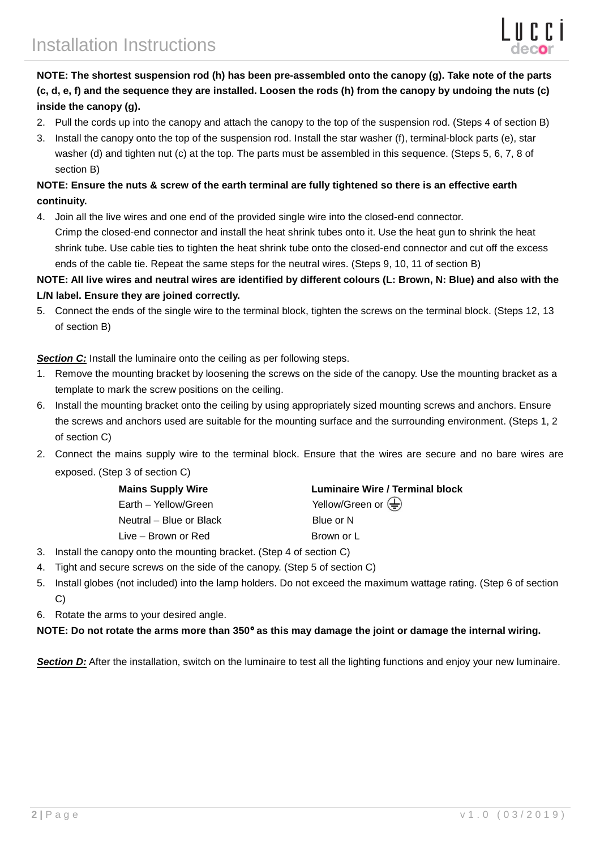# **NOTE: The shortest suspension rod (h) has been pre-assembled onto the canopy (g). Take note of the parts (c, d, e, f) and the sequence they are installed. Loosen the rods (h) from the canopy by undoing the nuts (c) inside the canopy (g).**

- 2. Pull the cords up into the canopy and attach the canopy to the top of the suspension rod. (Steps 4 of section B)
- 3. Install the canopy onto the top of the suspension rod. Install the star washer (f), terminal-block parts (e), star washer (d) and tighten nut (c) at the top. The parts must be assembled in this sequence. (Steps 5, 6, 7, 8 of section B)

# **NOTE: Ensure the nuts & screw of the earth terminal are fully tightened so there is an effective earth continuity.**

4. Join all the live wires and one end of the provided single wire into the closed-end connector. Crimp the closed-end connector and install the heat shrink tubes onto it. Use the heat gun to shrink the heat shrink tube. Use cable ties to tighten the heat shrink tube onto the closed-end connector and cut off the excess ends of the cable tie. Repeat the same steps for the neutral wires. (Steps 9, 10, 11 of section B)

### **NOTE: All live wires and neutral wires are identified by different colours (L: Brown, N: Blue) and also with the L/N label. Ensure they are joined correctly.**

5. Connect the ends of the single wire to the terminal block, tighten the screws on the terminal block. (Steps 12, 13 of section B)

**Section C:** Install the luminaire onto the ceiling as per following steps.

- 1. Remove the mounting bracket by loosening the screws on the side of the canopy. Use the mounting bracket as a template to mark the screw positions on the ceiling.
- 6. Install the mounting bracket onto the ceiling by using appropriately sized mounting screws and anchors. Ensure the screws and anchors used are suitable for the mounting surface and the surrounding environment. (Steps 1, 2 of section C)
- 2. Connect the mains supply wire to the terminal block. Ensure that the wires are secure and no bare wires are exposed. (Step 3 of section C)

| Luminaire Wire / Terminal block                 |
|-------------------------------------------------|
| Yellow/Green or $\left(\frac{\Gamma}{n}\right)$ |
| Blue or N                                       |
| Brown or L                                      |
|                                                 |

- 3. Install the canopy onto the mounting bracket. (Step 4 of section C)
- 4. Tight and secure screws on the side of the canopy. (Step 5 of section C)
- 5. Install globes (not included) into the lamp holders. Do not exceed the maximum wattage rating. (Step 6 of section C)
- 6. Rotate the arms to your desired angle.

### **NOTE: Do not rotate the arms more than 350**° **as this may damage the joint or damage the internal wiring.**

**Section D:** After the installation, switch on the luminaire to test all the lighting functions and enjoy your new luminaire.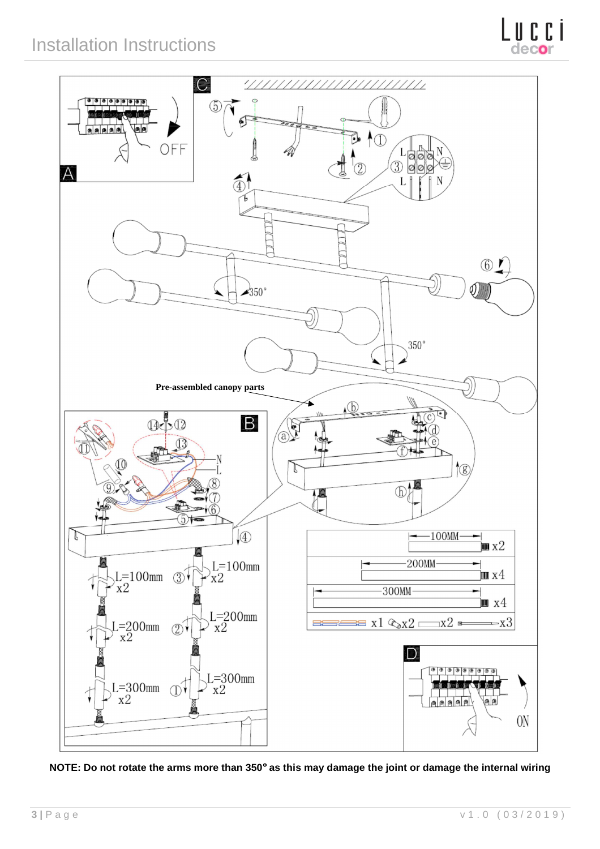

**NOTE: Do not rotate the arms more than 350**° **as this may damage the joint or damage the internal wiring**

deco